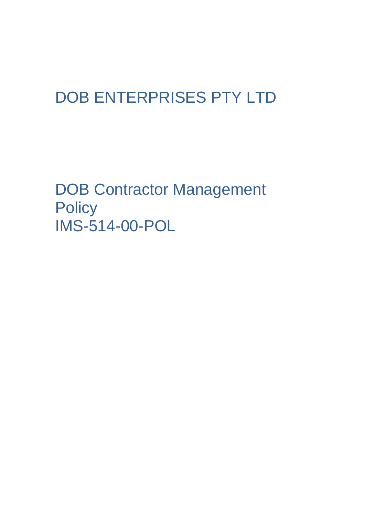## DOB ENTERPRISES PTY LTD

DOB Contractor Management **Policy** IMS-514-00-POL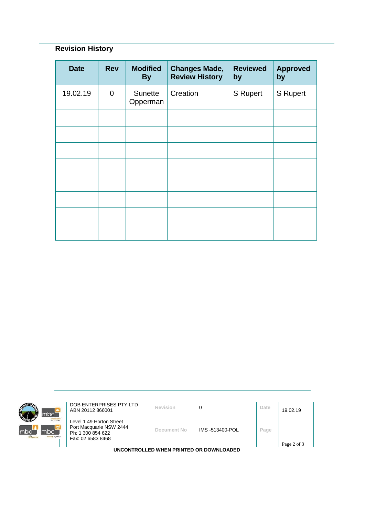## **Revision History**

| <b>Date</b> | <b>Rev</b>  | <b>Modified</b><br><b>By</b> | <b>Changes Made,</b><br><b>Review History</b> | <b>Reviewed</b><br>by | <b>Approved</b><br>by |
|-------------|-------------|------------------------------|-----------------------------------------------|-----------------------|-----------------------|
| 19.02.19    | $\mathbf 0$ | Sunette<br>Opperman          | Creation                                      | S Rupert              | <b>S</b> Rupert       |
|             |             |                              |                                               |                       |                       |
|             |             |                              |                                               |                       |                       |
|             |             |                              |                                               |                       |                       |
|             |             |                              |                                               |                       |                       |
|             |             |                              |                                               |                       |                       |
|             |             |                              |                                               |                       |                       |
|             |             |                              |                                               |                       |                       |
|             |             |                              |                                               |                       |                       |



**DOB ENTERPRISES PTY LTD**<br>ABN 20112 866001 **Revision 0 D Date** 19.02.19

Level 1 49 Horton Street Port Macquarie NSW 2444 Ph: 1 300 854 622 Fax: 02 6583 8468

**Document No** IMS -513400-POL **Page**

**UNCONTROLLED WHEN PRINTED OR DOWNLOADED**

Page 2 of 3